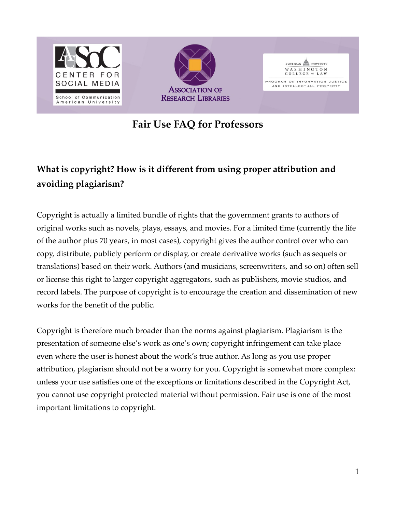

**Fair Use FAQ for Professors**

## **What is copyright? How is it different from using proper attribution and avoiding plagiarism?**

Copyright is actually a limited bundle of rights that the government grants to authors of original works such as novels, plays, essays, and movies. For a limited time (currently the life of the author plus 70 years, in most cases), copyright gives the author control over who can copy, distribute, publicly perform or display, or create derivative works (such as sequels or translations) based on their work. Authors (and musicians, screenwriters, and so on) often sell or license this right to larger copyright aggregators, such as publishers, movie studios, and record labels. The purpose of copyright is to encourage the creation and dissemination of new works for the benefit of the public.

Copyright is therefore much broader than the norms against plagiarism. Plagiarism is the presentation of someone else's work as one's own; copyright infringement can take place even where the user is honest about the work's true author. As long as you use proper attribution, plagiarism should not be a worry for you. Copyright is somewhat more complex: unless your use satisfies one of the exceptions or limitations described in the Copyright Act, you cannot use copyright protected material without permission. Fair use is one of the most important limitations to copyright.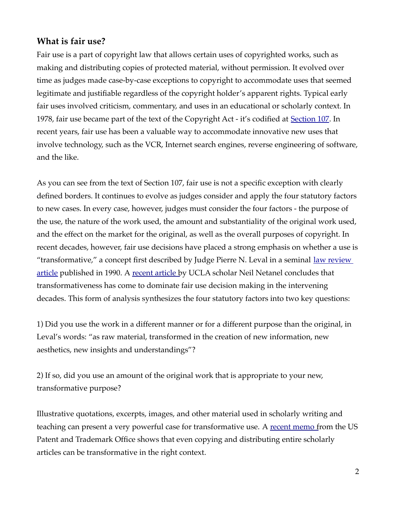#### **What is fair use?**

Fair use is a part of copyright law that allows certain uses of copyrighted works, such as making and distributing copies of protected material, without permission. It evolved over time as judges made case-by-case exceptions to copyright to accommodate uses that seemed legitimate and justifiable regardless of the copyright holder's apparent rights. Typical early fair uses involved criticism, commentary, and uses in an educational or scholarly context. In 1978, fair use became part of the text of the Copyright Act - it's codified at [Section 107.](http://www.law.cornell.edu/uscode/17/107.shtml) In recent years, fair use has been a valuable way to accommodate innovative new uses that involve technology, such as the VCR, Internet search engines, reverse engineering of software, and the like.

As you can see from the text of Section 107, fair use is not a specific exception with clearly defined borders. It continues to evolve as judges consider and apply the four statutory factors to new cases. In every case, however, judges must consider the four factors - the purpose of the use, the nature of the work used, the amount and substantiality of the original work used, and the effect on the market for the original, as well as the overall purposes of copyright. In recent decades, however, fair use decisions have placed a strong emphasis on whether a use is "transformative," a concept first described by Judge Pierre N. Leval in a seminal [law review](http://docs.law.gwu.edu/facweb/claw//LevalFrUStd.htm) [article](http://docs.law.gwu.edu/facweb/claw//LevalFrUStd.htm) published in 1990. [A recent article](http://papers.ssrn.com/sol3/papers.cfm?abstract_id=1874778) by UCLA scholar Neil Netanel concludes that transformativeness has come to dominate fair use decision making in the intervening decades. This form of analysis synthesizes the four statutory factors into two key questions:

1) Did you use the work in a different manner or for a different purpose than the original, in Leval's words: "as raw material, transformed in the creation of new information, new aesthetics, new insights and understandings"?

2) If so, did you use an amount of the original work that is appropriate to your new, transformative purpose?

Illustrative quotations, excerpts, images, and other material used in scholarly writing and teaching can present a very powerful case for transformative use. [A recent memo](http://www.uspto.gov/about/offices/ogc/USPTOPositiononFairUse_of_CopiesofNPLMadeinPatentExamination.pdf) from the US Patent and Trademark Office shows that even copying and distributing entire scholarly articles can be transformative in the right context.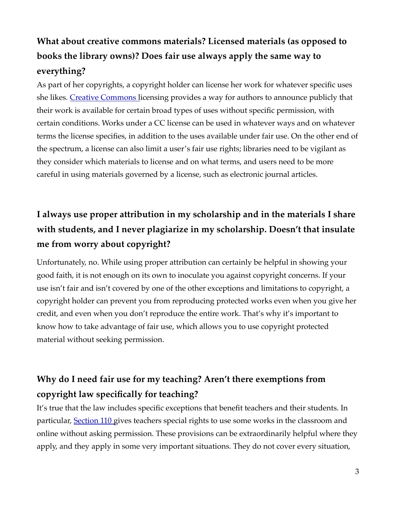# **What about creative commons materials? Licensed materials (as opposed to books the library owns)? Does fair use always apply the same way to everything?**

As part of her copyrights, a copyright holder can license her work for whatever specific uses she likes[. Creative Commons](http://creativecommons.org/) licensing provides a way for authors to announce publicly that their work is available for certain broad types of uses without specific permission, with certain conditions. Works under a CC license can be used in whatever ways and on whatever terms the license specifies, in addition to the uses available under fair use. On the other end of the spectrum, a license can also limit a user's fair use rights; libraries need to be vigilant as they consider which materials to license and on what terms, and users need to be more careful in using materials governed by a license, such as electronic journal articles.

### **I always use proper attribution in my scholarship and in the materials I share with students, and I never plagiarize in my scholarship. Doesn't that insulate me from worry about copyright?**

Unfortunately, no. While using proper attribution can certainly be helpful in showing your good faith, it is not enough on its own to inoculate you against copyright concerns. If your use isn't fair and isn't covered by one of the other exceptions and limitations to copyright, a copyright holder can prevent you from reproducing protected works even when you give her credit, and even when you don't reproduce the entire work. That's why it's important to know how to take advantage of fair use, which allows you to use copyright protected material without seeking permission.

### **Why do I need fair use for my teaching? Aren't there exemptions from copyright law specifically for teaching?**

It's true that the law includes specific exceptions that benefit teachers and their students. In particular, [Section 110 g](http://codes.lp.findlaw.com/uscode/17/1/110)ives teachers special rights to use some works in the classroom and online without asking permission. These provisions can be extraordinarily helpful where they apply, and they apply in some very important situations. They do not cover every situation,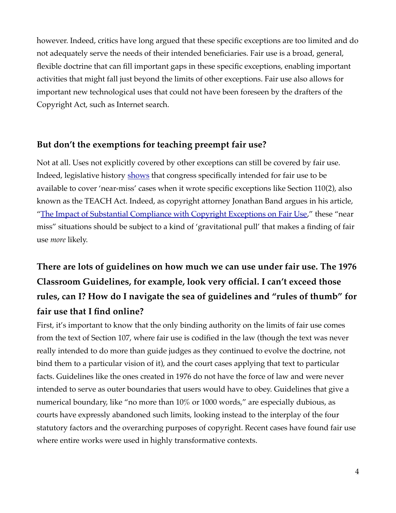however. Indeed, critics have long argued that these specific exceptions are too limited and do not adequately serve the needs of their intended beneficiaries. Fair use is a broad, general, flexible doctrine that can fill important gaps in these specific exceptions, enabling important activities that might fall just beyond the limits of other exceptions. Fair use also allows for important new technological uses that could not have been foreseen by the drafters of the Copyright Act, such as Internet search.

#### **But don't the exemptions for teaching preempt fair use?**

Not at all. Uses not explicitly covered by other exceptions can still be covered by fair use. Indeed, legislative history [shows](http://assets.opencrs.com/rpts/RL33516_20060706.pdf) that congress specifically intended for fair use to be available to cover 'near-miss' cases when it wrote specific exceptions like Section 110(2), also known as the TEACH Act. Indeed, as copyright attorney Jonathan Band argues in his article, ["The Impact of Substantial Compliance with Copyright Exceptions on Fair Use,](http://papers.ssrn.com/sol3/papers.cfm?abstract_id=1966593)" these "near miss" situations should be subject to a kind of 'gravitational pull' that makes a finding of fair use *more* likely.

# **There are lots of guidelines on how much we can use under fair use. The 1976 Classroom Guidelines, for example, look very official. I can't exceed those rules, can I? How do I navigate the sea of guidelines and "rules of thumb" for fair use that I find online?**

First, it's important to know that the only binding authority on the limits of fair use comes from the text of Section 107, where fair use is codified in the law (though the text was never really intended to do more than guide judges as they continued to evolve the doctrine, not bind them to a particular vision of it), and the court cases applying that text to particular facts. Guidelines like the ones created in 1976 do not have the force of law and were never intended to serve as outer boundaries that users would have to obey. Guidelines that give a numerical boundary, like "no more than 10% or 1000 words," are especially dubious, as courts have expressly abandoned such limits, looking instead to the interplay of the four statutory factors and the overarching purposes of copyright. Recent cases have found fair use where entire works were used in highly transformative contexts.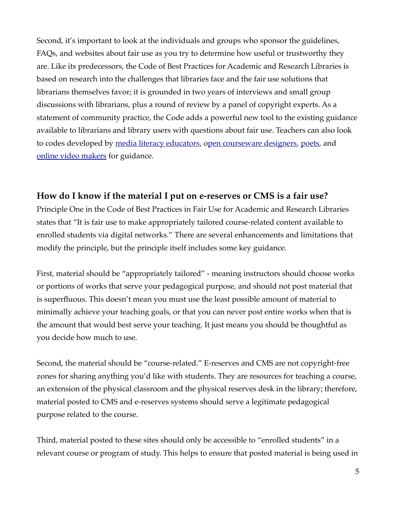Second, it's important to look at the individuals and groups who sponsor the guidelines, FAQs, and websites about fair use as you try to determine how useful or trustworthy they are. Like its predecessors, the Code of Best Practices for Academic and Research Libraries is based on research into the challenges that libraries face and the fair use solutions that librarians themselves favor; it is grounded in two years of interviews and small group discussions with librarians, plus a round of review by a panel of copyright experts. As a statement of community practice, the Code adds a powerful new tool to the existing guidance available to librarians and library users with questions about fair use. Teachers can also look to codes developed by [media literacy educators,](http://www.centerforsocialmedia.org/fair-use/related-materials/codes/code-best-practices-fair-use-media-literacy-education) [open courseware designers,](http://www.centerforsocialmedia.org/ocw) [poets,](http://www.centerforsocialmedia.org/fair-use/related-materials/codes/code-best-practices-fair-use-poetry) and [online video makers](http://www.centerforsocialmedia.org/fair-use/related-materials/codes/code-best-practices-fair-use-online-video) for guidance.

#### **How do I know if the material I put on e-reserves or CMS is a fair use?**

Principle One in the Code of Best Practices in Fair Use for Academic and Research Libraries states that "It is fair use to make appropriately tailored course-related content available to enrolled students via digital networks." There are several enhancements and limitations that modify the principle, but the principle itself includes some key guidance.

First, material should be "appropriately tailored" - meaning instructors should choose works or portions of works that serve your pedagogical purpose, and should not post material that is superfluous. This doesn't mean you must use the least possible amount of material to minimally achieve your teaching goals, or that you can never post entire works when that is the amount that would best serve your teaching. It just means you should be thoughtful as you decide how much to use.

Second, the material should be "course-related." E-reserves and CMS are not copyright-free zones for sharing anything you'd like with students. They are resources for teaching a course, an extension of the physical classroom and the physical reserves desk in the library; therefore, material posted to CMS and e-reserves systems should serve a legitimate pedagogical purpose related to the course.

Third, material posted to these sites should only be accessible to "enrolled students" in a relevant course or program of study. This helps to ensure that posted material is being used in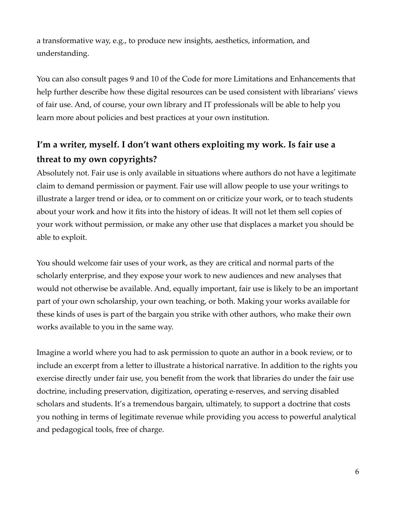a transformative way, e.g., to produce new insights, aesthetics, information, and understanding.

You can also consult pages 9 and 10 of the Code for more Limitations and Enhancements that help further describe how these digital resources can be used consistent with librarians' views of fair use. And, of course, your own library and IT professionals will be able to help you learn more about policies and best practices at your own institution.

### **I'm a writer, myself. I don't want others exploiting my work. Is fair use a threat to my own copyrights?**

Absolutely not. Fair use is only available in situations where authors do not have a legitimate claim to demand permission or payment. Fair use will allow people to use your writings to illustrate a larger trend or idea, or to comment on or criticize your work, or to teach students about your work and how it fits into the history of ideas. It will not let them sell copies of your work without permission, or make any other use that displaces a market you should be able to exploit.

You should welcome fair uses of your work, as they are critical and normal parts of the scholarly enterprise, and they expose your work to new audiences and new analyses that would not otherwise be available. And, equally important, fair use is likely to be an important part of your own scholarship, your own teaching, or both. Making your works available for these kinds of uses is part of the bargain you strike with other authors, who make their own works available to you in the same way.

Imagine a world where you had to ask permission to quote an author in a book review, or to include an excerpt from a letter to illustrate a historical narrative. In addition to the rights you exercise directly under fair use, you benefit from the work that libraries do under the fair use doctrine, including preservation, digitization, operating e-reserves, and serving disabled scholars and students. It's a tremendous bargain, ultimately, to support a doctrine that costs you nothing in terms of legitimate revenue while providing you access to powerful analytical and pedagogical tools, free of charge.